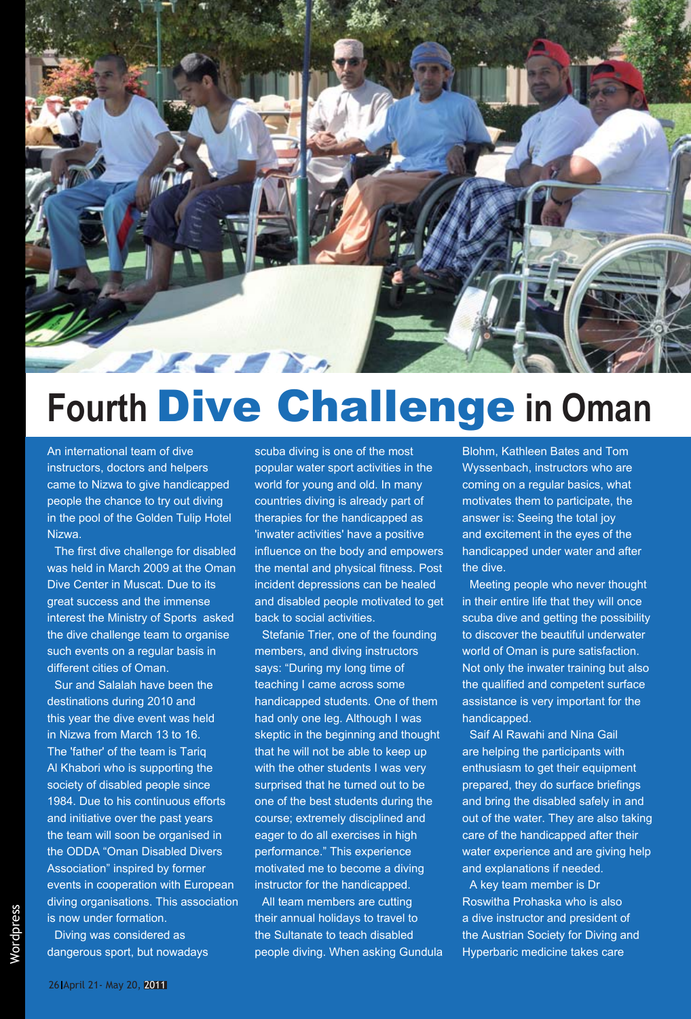

## **Fourth** Dive Challenge **in Oman**

An international team of dive instructors, doctors and helpers came to Nizwa to give handicapped people the chance to try out diving in the pool of the Golden Tulip Hotel Nizwa.

The first dive challenge for disabled was held in March 2009 at the Oman Dive Center in Muscat. Due to its great success and the immense interest the Ministry of Sports asked the dive challenge team to organise such events on a regular basis in different cities of Oman.

Sur and Salalah have been the destinations during 2010 and this year the dive event was held in Nizwa from March 13 to 16. The 'father' of the team is Tariq Al Khabori who is supporting the society of disabled people since 1984. Due to his continuous efforts and initiative over the past years the team will soon be organised in the ODDA "Oman Disabled Divers Association" inspired by former events in cooperation with European diving organisations. This association is now under formation.

Diving was considered as dangerous sport, but nowadays scuba diving is one of the most popular water sport activities in the world for young and old. In many countries diving is already part of therapies for the handicapped as 'inwater activities' have a positive influence on the body and empowers the mental and physical fitness. Post incident depressions can be healed and disabled people motivated to get back to social activities.

Stefanie Trier, one of the founding members, and diving instructors says: "During my long time of teaching I came across some handicapped students. One of them had only one leg. Although I was skeptic in the beginning and thought that he will not be able to keep up with the other students I was very surprised that he turned out to be one of the best students during the course; extremely disciplined and eager to do all exercises in high performance." This experience motivated me to become a diving instructor for the handicapped.

All team members are cutting their annual holidays to travel to the Sultanate to teach disabled people diving. When asking Gundula Blohm, Kathleen Bates and Tom Wyssenbach, instructors who are coming on a regular basics, what motivates them to participate, the answer is: Seeing the total joy and excitement in the eyes of the handicapped under water and after the dive.

Meeting people who never thought in their entire life that they will once scuba dive and getting the possibility to discover the beautiful underwater world of Oman is pure satisfaction. Not only the inwater training but also the qualified and competent surface assistance is very important for the handicapped.

Saif Al Rawahi and Nina Gail are helping the participants with enthusiasm to get their equipment prepared, they do surface briefings and bring the disabled safely in and out of the water. They are also taking care of the handicapped after their water experience and are giving help and explanations if needed.

A key team member is Dr Roswitha Prohaska who is also a dive instructor and president of the Austrian Society for Diving and Hyperbaric medicine takes care